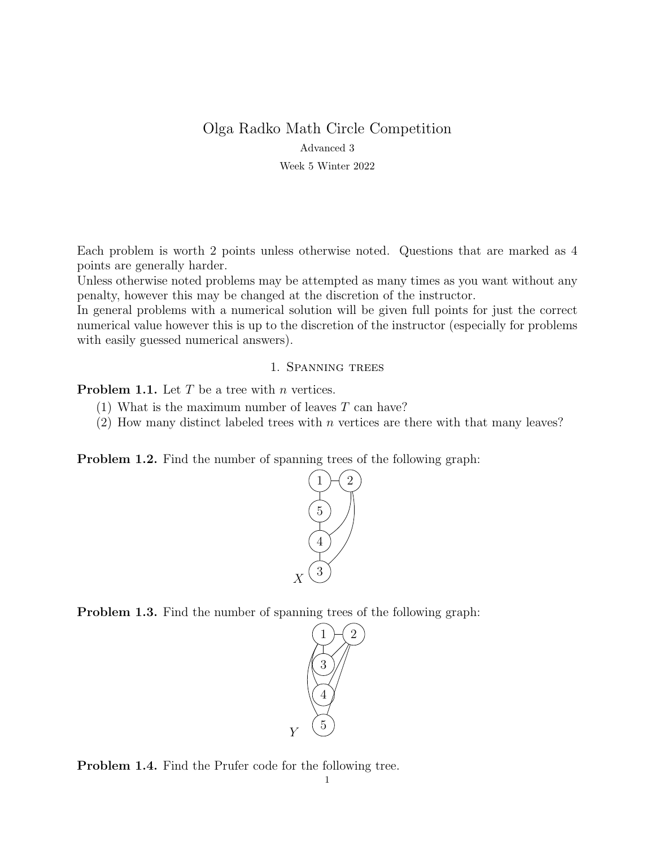# Olga Radko Math Circle Competition Advanced 3

Week 5 Winter 2022

Each problem is worth 2 points unless otherwise noted. Questions that are marked as 4 points are generally harder.

Unless otherwise noted problems may be attempted as many times as you want without any penalty, however this may be changed at the discretion of the instructor.

In general problems with a numerical solution will be given full points for just the correct numerical value however this is up to the discretion of the instructor (especially for problems with easily guessed numerical answers).

### 1. Spanning trees

**Problem 1.1.** Let  $T$  be a tree with  $n$  vertices.

- (1) What is the maximum number of leaves  $T$  can have?
- (2) How many distinct labeled trees with  $n$  vertices are there with that many leaves?

Problem 1.2. Find the number of spanning trees of the following graph:



Problem 1.3. Find the number of spanning trees of the following graph:



Problem 1.4. Find the Prufer code for the following tree.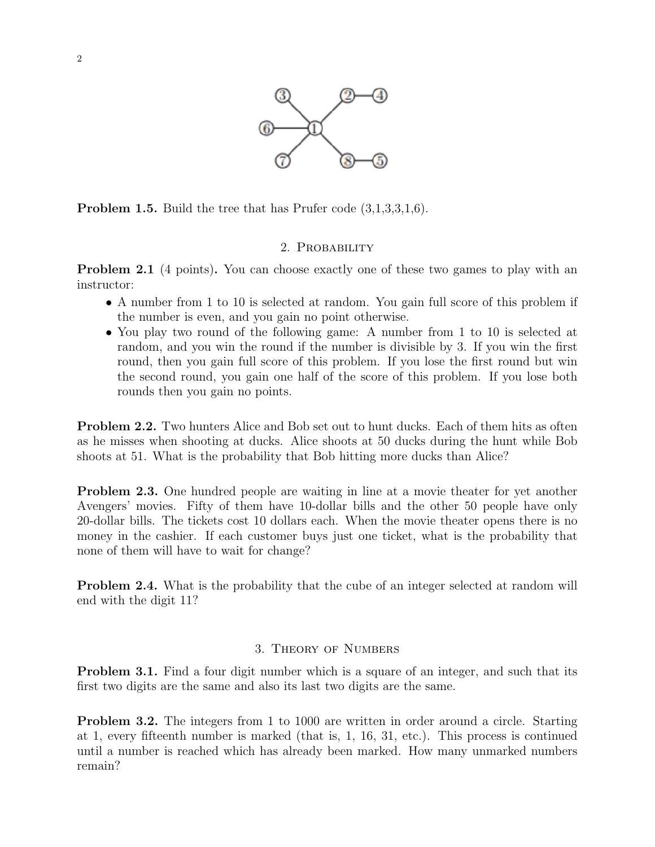

Problem 1.5. Build the tree that has Prufer code (3,1,3,3,1,6).

## 2. PROBABILITY

**Problem 2.1** (4 points). You can choose exactly one of these two games to play with an instructor:

- A number from 1 to 10 is selected at random. You gain full score of this problem if the number is even, and you gain no point otherwise.
- You play two round of the following game: A number from 1 to 10 is selected at random, and you win the round if the number is divisible by 3. If you win the first round, then you gain full score of this problem. If you lose the first round but win the second round, you gain one half of the score of this problem. If you lose both rounds then you gain no points.

Problem 2.2. Two hunters Alice and Bob set out to hunt ducks. Each of them hits as often as he misses when shooting at ducks. Alice shoots at 50 ducks during the hunt while Bob shoots at 51. What is the probability that Bob hitting more ducks than Alice?

Problem 2.3. One hundred people are waiting in line at a movie theater for yet another Avengers' movies. Fifty of them have 10-dollar bills and the other 50 people have only 20-dollar bills. The tickets cost 10 dollars each. When the movie theater opens there is no money in the cashier. If each customer buys just one ticket, what is the probability that none of them will have to wait for change?

Problem 2.4. What is the probability that the cube of an integer selected at random will end with the digit 11?

## 3. Theory of Numbers

**Problem 3.1.** Find a four digit number which is a square of an integer, and such that its first two digits are the same and also its last two digits are the same.

**Problem 3.2.** The integers from 1 to 1000 are written in order around a circle. Starting at 1, every fifteenth number is marked (that is, 1, 16, 31, etc.). This process is continued until a number is reached which has already been marked. How many unmarked numbers remain?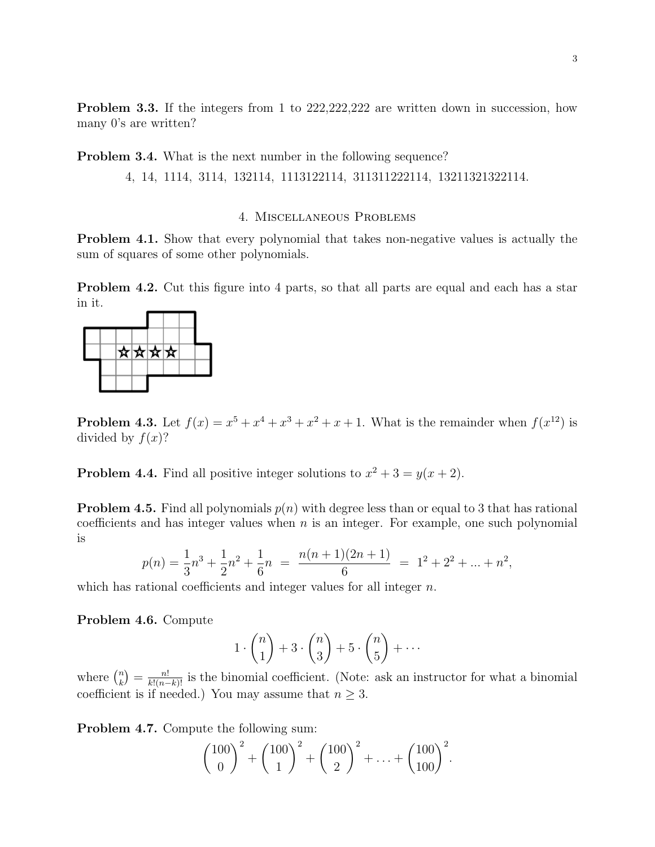**Problem 3.3.** If the integers from 1 to 222,222,222 are written down in succession, how many 0's are written?

**Problem 3.4.** What is the next number in the following sequence?

4, 14, 1114, 3114, 132114, 1113122114, 311311222114, 13211321322114.

#### 4. Miscellaneous Problems

Problem 4.1. Show that every polynomial that takes non-negative values is actually the sum of squares of some other polynomials.

Problem 4.2. Cut this figure into 4 parts, so that all parts are equal and each has a star in it.



**Problem 4.3.** Let  $f(x) = x^5 + x^4 + x^3 + x^2 + x + 1$ . What is the remainder when  $f(x^{12})$  is divided by  $f(x)$ ?

**Problem 4.4.** Find all positive integer solutions to  $x^2 + 3 = y(x + 2)$ .

**Problem 4.5.** Find all polynomials  $p(n)$  with degree less than or equal to 3 that has rational coefficients and has integer values when  $n$  is an integer. For example, one such polynomial is

$$
p(n) = \frac{1}{3}n^3 + \frac{1}{2}n^2 + \frac{1}{6}n = \frac{n(n+1)(2n+1)}{6} = 1^2 + 2^2 + \dots + n^2,
$$

which has rational coefficients and integer values for all integer  $n$ .

Problem 4.6. Compute

$$
1 \cdot \binom{n}{1} + 3 \cdot \binom{n}{3} + 5 \cdot \binom{n}{5} + \cdots
$$

where  $\binom{n}{k}$  $\binom{n}{k} = \frac{n!}{k!(n-k)!}$  is the binomial coefficient. (Note: ask an instructor for what a binomial coefficient is if needed.) You may assume that  $n \geq 3$ .

Problem 4.7. Compute the following sum:

$$
\binom{100}{0}^2 + \binom{100}{1}^2 + \binom{100}{2}^2 + \ldots + \binom{100}{100}^2.
$$